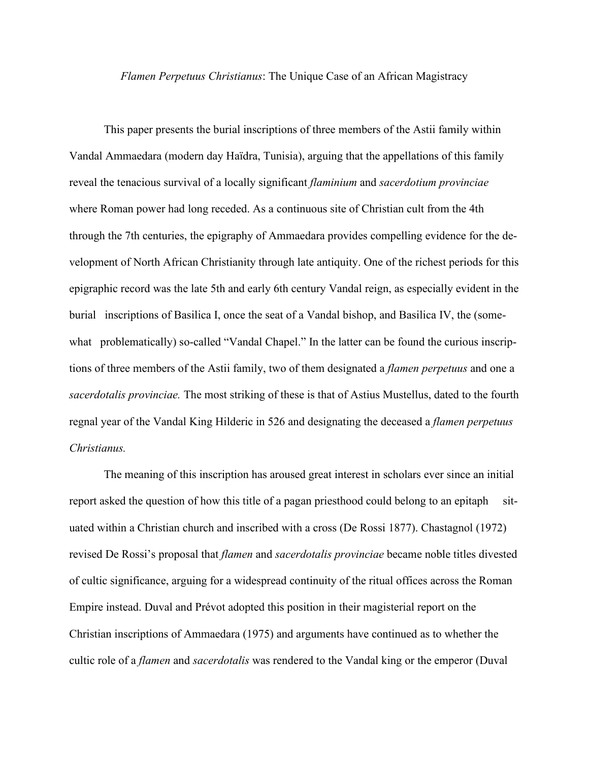## *Flamen Perpetuus Christianus*: The Unique Case of an African Magistracy

This paper presents the burial inscriptions of three members of the Astii family within Vandal Ammaedara (modern day Haïdra, Tunisia), arguing that the appellations of this family reveal the tenacious survival of a locally significant *flaminium* and *sacerdotium provinciae* where Roman power had long receded. As a continuous site of Christian cult from the 4th through the 7th centuries, the epigraphy of Ammaedara provides compelling evidence for the development of North African Christianity through late antiquity. One of the richest periods for this epigraphic record was the late 5th and early 6th century Vandal reign, as especially evident in the burial inscriptions of Basilica I, once the seat of a Vandal bishop, and Basilica IV, the (somewhat problematically) so-called "Vandal Chapel." In the latter can be found the curious inscriptions of three members of the Astii family, two of them designated a *flamen perpetuus* and one a *sacerdotalis provinciae.* The most striking of these is that of Astius Mustellus, dated to the fourth regnal year of the Vandal King Hilderic in 526 and designating the deceased a *flamen perpetuus Christianus.*

The meaning of this inscription has aroused great interest in scholars ever since an initial report asked the question of how this title of a pagan priesthood could belong to an epitaph situated within a Christian church and inscribed with a cross (De Rossi 1877). Chastagnol (1972) revised De Rossi's proposal that *flamen* and *sacerdotalis provinciae* became noble titles divested of cultic significance, arguing for a widespread continuity of the ritual offices across the Roman Empire instead. Duval and Prévot adopted this position in their magisterial report on the Christian inscriptions of Ammaedara (1975) and arguments have continued as to whether the cultic role of a *flamen* and *sacerdotalis* was rendered to the Vandal king or the emperor (Duval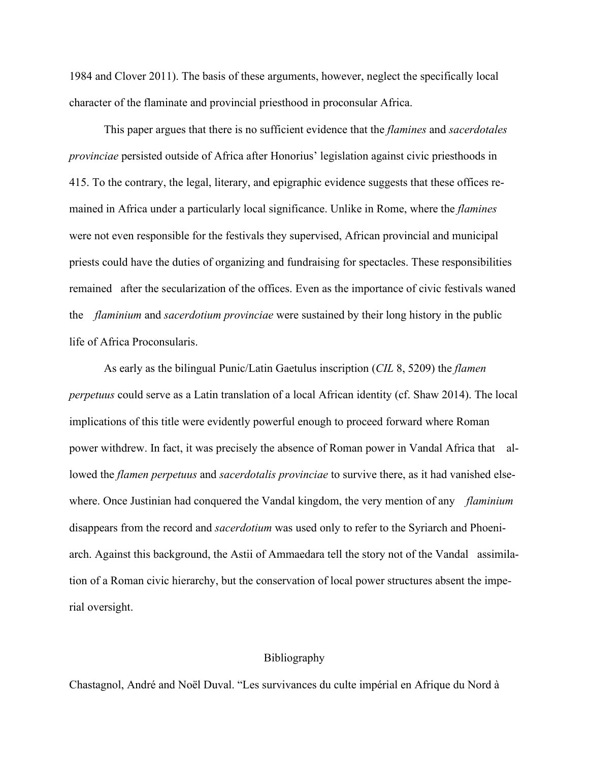1984 and Clover 2011). The basis of these arguments, however, neglect the specifically local character of the flaminate and provincial priesthood in proconsular Africa.

This paper argues that there is no sufficient evidence that the *flamines* and *sacerdotales provinciae* persisted outside of Africa after Honorius' legislation against civic priesthoods in 415. To the contrary, the legal, literary, and epigraphic evidence suggests that these offices remained in Africa under a particularly local significance. Unlike in Rome, where the *flamines* were not even responsible for the festivals they supervised, African provincial and municipal priests could have the duties of organizing and fundraising for spectacles. These responsibilities remained after the secularization of the offices. Even as the importance of civic festivals waned the *flaminium* and *sacerdotium provinciae* were sustained by their long history in the public life of Africa Proconsularis.

As early as the bilingual Punic/Latin Gaetulus inscription (*CIL* 8, 5209) the *flamen perpetuus* could serve as a Latin translation of a local African identity (cf. Shaw 2014). The local implications of this title were evidently powerful enough to proceed forward where Roman power withdrew. In fact, it was precisely the absence of Roman power in Vandal Africa that allowed the *flamen perpetuus* and *sacerdotalis provinciae* to survive there, as it had vanished elsewhere. Once Justinian had conquered the Vandal kingdom, the very mention of any *flaminium* disappears from the record and *sacerdotium* was used only to refer to the Syriarch and Phoeniarch. Against this background, the Astii of Ammaedara tell the story not of the Vandal assimilation of a Roman civic hierarchy, but the conservation of local power structures absent the imperial oversight.

## Bibliography

Chastagnol, André and Noël Duval. "Les survivances du culte impérial en Afrique du Nord à